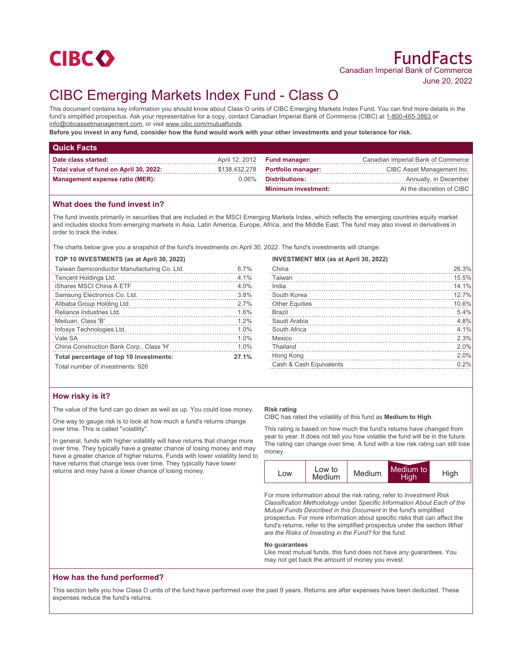

# CIBC Emerging Markets Index Fund - Class O

This document contains key information you should know about Class O units of CIBC Emerging Markets Index Fund. You can find more details in the fund's simplified prospectus. Ask your representative for a copy, contact Canadian Imperial Bank of Commerce (CIBC) at 1-800-465-3863 or info@cibcassetmanagement.com, or visit www.cibc.com/mutualfunds.

**Before you invest in any fund, consider how the fund would work with your other investments and your tolerance for risk.**

| <b>Quick Facts</b>                     |          |                                     |                                    |
|----------------------------------------|----------|-------------------------------------|------------------------------------|
| Date class started:                    |          | April 12, 2012 <b>Fund manager:</b> | Canadian Imperial Bank of Commerce |
| Total value of fund on April 30, 2022: |          | \$138,432,278 Portfolio manager:    | CIBC Asset Management Inc.         |
| <b>Management expense ratio (MER):</b> | $0.06\%$ | <b>Distributions:</b>               | Annually, in December              |
|                                        |          | <b>Minimum investment:</b>          | At the discretion of CIBC          |

## **What does the fund invest in?**

The fund invests primarily in securities that are included in the MSCI Emerging Markets Index, which reflects the emerging countries equity market and includes stocks from emerging markets in Asia, Latin America, Europe, Africa, and the Middle East. The fund may also invest in derivatives in order to track the index.

The charts below give you a snapshot of the fund's investments on April 30, 2022. The fund's investments will change.

#### **TOP 10 INVESTMENTS (as at April 30, 2022)**

| Taiwan Semiconductor Manufacturing Co. Ltd. | 6.7% |
|---------------------------------------------|------|
| Tencent Holdings Ltd.                       | 4.1% |
| iShares MSCI China A ETF                    | 4.0% |
| Samsung Electronics Co. Ltd.                | 3.8% |
| Alibaba Group Holding Ltd.                  | 2.7% |
| Reliance Industries Ltd.                    | 1.6% |
| Meituan, Class 'B'                          | 1.2% |
| Infosys Technologies Ltd.                   | 1.0% |
| Vale SA                                     | 1.0% |
| China Construction Bank Corp., Class 'H'    | 1.0% |
| Total percentage of top 10 investments:     |      |
| Total number of investments: 926            |      |

## **INVESTMENT MIX (as at April 30, 2022)**

| China                   | 26.3% |
|-------------------------|-------|
| Taiwan                  | 15.5% |
| India                   | 14.1% |
| South Korea             | 12.7% |
| <b>Other Equities</b>   | 10.6% |
| <b>Brazil</b>           | 5.4%  |
| Saudi Arabia            | 4.8%  |
| South Africa            | 4.1%  |
| Mexico                  | 2.3%  |
| Thailand                | 2.0%  |
| Hong Kong               | 2.0%  |
| Cash & Cash Equivalents | 0.2%  |
|                         |       |

## **How risky is it?**

The value of the fund can go down as well as up. You could lose money.

One way to gauge risk is to look at how much a fund's returns change over time. This is called "volatility".

In general, funds with higher volatility will have returns that change more over time. They typically have a greater chance of losing money and may have a greater chance of higher returns. Funds with lower volatility tend to have returns that change less over time. They typically have lower returns and may have a lower chance of losing money.

#### **Risk rating**

CIBC has rated the volatility of this fund as **Medium to High**.

This rating is based on how much the fund's returns have changed from year to year. It does not tell you how volatile the fund will be in the future. The rating can change over time. A fund with a low risk rating can still lose money.



For more information about the risk rating, refer to *Investment Risk Classification Methodology* under *Specific Information About Each of the Mutual Funds Described in this Document* in the fund's simplified prospectus. For more information about specific risks that can affect the fund's returns, refer to the simplified prospectus under the section *What are the Risks of Investing in the Fund?* for the fund.

#### **No guarantees**

Like most mutual funds, this fund does not have any guarantees. You may not get back the amount of money you invest.

## **How has the fund performed?**

This section tells you how Class O units of the fund have performed over the past 9 years. Returns are after expenses have been deducted. These expenses reduce the fund's returns.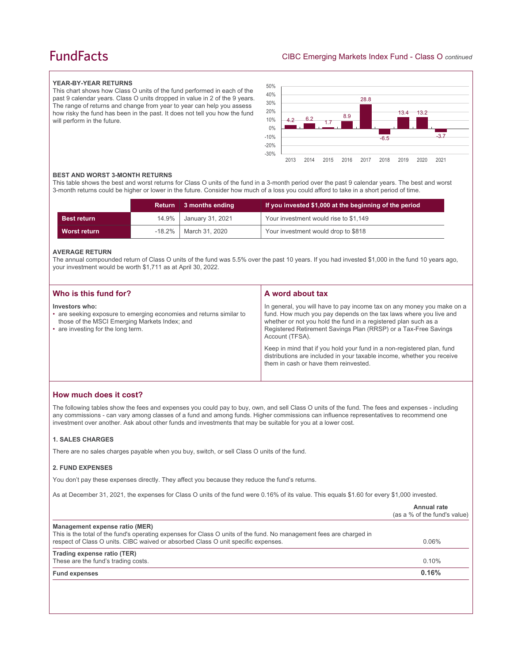## **FundFacts**

#### **YEAR-BY-YEAR RETURNS**

This chart shows how Class O units of the fund performed in each of the past 9 calendar years. Class O units dropped in value in 2 of the 9 years. The range of returns and change from year to year can help you assess how risky the fund has been in the past. It does not tell you how the fund will perform in the future.



#### **BEST AND WORST 3-MONTH RETURNS**

This table shows the best and worst returns for Class O units of the fund in a 3-month period over the past 9 calendar years. The best and worst 3-month returns could be higher or lower in the future. Consider how much of a loss you could afford to take in a short period of time.

|                    | Return   | 3 months ending         | If you invested \$1,000 at the beginning of the period |
|--------------------|----------|-------------------------|--------------------------------------------------------|
| <b>Best return</b> | $14.9\%$ | January 31, 2021        | Your investment would rise to \$1,149                  |
| Worst return       |          | -18.2%   March 31, 2020 | Your investment would drop to \$818                    |

#### **AVERAGE RETURN**

The annual compounded return of Class O units of the fund was 5.5% over the past 10 years. If you had invested \$1,000 in the fund 10 years ago, your investment would be worth \$1,711 as at April 30, 2022.

| Who is this fund for?                                                                                                                                                        | A word about tax                                                                                                                                                                                                                                                                                                                                                                                                                                         |
|------------------------------------------------------------------------------------------------------------------------------------------------------------------------------|----------------------------------------------------------------------------------------------------------------------------------------------------------------------------------------------------------------------------------------------------------------------------------------------------------------------------------------------------------------------------------------------------------------------------------------------------------|
| Investors who:<br>• are seeking exposure to emerging economies and returns similar to<br>those of the MSCI Emerging Markets Index; and<br>• are investing for the long term. | In general, you will have to pay income tax on any money you make on a<br>fund. How much you pay depends on the tax laws where you live and<br>whether or not you hold the fund in a registered plan such as a<br>Registered Retirement Savings Plan (RRSP) or a Tax-Free Savings<br>Account (TFSA).<br>Keep in mind that if you hold your fund in a non-registered plan, fund<br>distributions are included in your taxable income, whether you receive |
|                                                                                                                                                                              | them in cash or have them reinvested.                                                                                                                                                                                                                                                                                                                                                                                                                    |

## **How much does it cost?**

The following tables show the fees and expenses you could pay to buy, own, and sell Class O units of the fund. The fees and expenses - including any commissions - can vary among classes of a fund and among funds. Higher commissions can influence representatives to recommend one investment over another. Ask about other funds and investments that may be suitable for you at a lower cost.

#### **1. SALES CHARGES**

There are no sales charges payable when you buy, switch, or sell Class O units of the fund.

#### **2. FUND EXPENSES**

You don't pay these expenses directly. They affect you because they reduce the fund's returns.

As at December 31, 2021, the expenses for Class O units of the fund were 0.16% of its value. This equals \$1.60 for every \$1,000 invested.

|                                                                                                                                                                                                                                            | Annual rate<br>(as a % of the fund's value) |
|--------------------------------------------------------------------------------------------------------------------------------------------------------------------------------------------------------------------------------------------|---------------------------------------------|
| Management expense ratio (MER)<br>This is the total of the fund's operating expenses for Class O units of the fund. No management fees are charged in<br>respect of Class O units. CIBC waived or absorbed Class O unit specific expenses. | $0.06\%$                                    |
| Trading expense ratio (TER)<br>These are the fund's trading costs.                                                                                                                                                                         | $0.10\%$                                    |
| <b>Fund expenses</b>                                                                                                                                                                                                                       | 0.16%                                       |